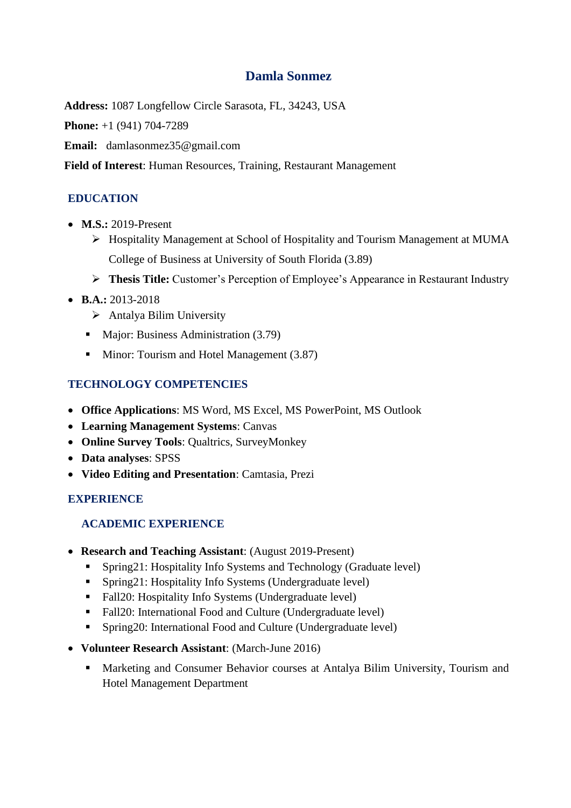# **Damla Sonmez**

**Address:** 1087 Longfellow Circle Sarasota, FL, 34243, USA

**Phone:** +1 (941) 704-7289

**Email:** [damlasonmez35@gmail.com](mailto:damlasonmez35@gmail.com)

**Field of Interest**: Human Resources, Training, Restaurant Management

# **EDUCATION**

- **M.S.:** 2019-Present
	- ➢ Hospitality Management at School of Hospitality and Tourism Management at MUMA College of Business at University of South Florida (3.89)
	- ➢ **Thesis Title:** Customer's Perception of Employee's Appearance in Restaurant Industry
- **B.A.:** 2013-2018
	- ➢ Antalya Bilim University
	- Major: Business Administration (3.79)
	- Minor: Tourism and Hotel Management (3.87)

# **TECHNOLOGY COMPETENCIES**

- **Office Applications**: MS Word, MS Excel, MS PowerPoint, MS Outlook
- **Learning Management Systems**: Canvas
- **Online Survey Tools**: Qualtrics, SurveyMonkey
- **Data analyses**: SPSS
- **Video Editing and Presentation**: Camtasia, Prezi

# **EXPERIENCE**

# **ACADEMIC EXPERIENCE**

- **Research and Teaching Assistant**: (August 2019-Present)
	- **•** Spring21: Hospitality Info Systems and Technology (Graduate level)
	- Spring21: Hospitality Info Systems (Undergraduate level)
	- Fall20: Hospitality Info Systems (Undergraduate level)
	- Fall20: International Food and Culture (Undergraduate level)
	- Spring20: International Food and Culture (Undergraduate level)
- **Volunteer Research Assistant**: (March-June 2016)
	- Marketing and Consumer Behavior courses at Antalya Bilim University, Tourism and Hotel Management Department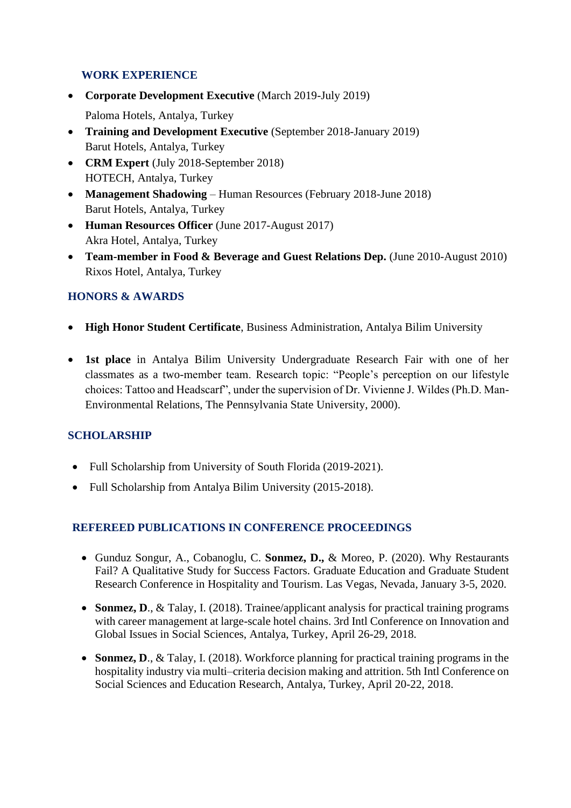### **WORK EXPERIENCE**

- **Corporate Development Executive** (March 2019-July 2019)
	- Paloma Hotels, Antalya, Turkey
- **Training and Development Executive** (September 2018-January 2019) Barut Hotels, Antalya, Turkey
- **CRM Expert** (July 2018-September 2018) HOTECH, Antalya, Turkey
- **Management Shadowing** Human Resources (February 2018-June 2018) Barut Hotels, Antalya, Turkey
- **Human Resources Officer** (June 2017-August 2017) Akra Hotel, Antalya, Turkey
- **Team-member in Food & Beverage and Guest Relations Dep.** (June 2010-August 2010) Rixos Hotel, Antalya, Turkey

# **HONORS & AWARDS**

- **High Honor Student Certificate**, Business Administration, Antalya Bilim University
- **1st place** in Antalya Bilim University Undergraduate Research Fair with one of her classmates as a two-member team. Research topic: "People's perception on our lifestyle choices: Tattoo and Headscarf", under the supervision of Dr. Vivienne J. Wildes (Ph.D. Man-Environmental Relations, The Pennsylvania State University, 2000).

# **SCHOLARSHIP**

- Full Scholarship from University of South Florida (2019-2021).
- Full Scholarship from Antalya Bilim University (2015-2018).

# **REFEREED PUBLICATIONS IN CONFERENCE PROCEEDINGS**

- Gunduz Songur, A., Cobanoglu, C. **Sonmez, D.,** & Moreo, P. (2020). Why Restaurants Fail? A Qualitative Study for Success Factors. Graduate Education and Graduate Student Research Conference in Hospitality and Tourism. Las Vegas, Nevada, January 3-5, 2020.
- **Sonmez, D., & Talay, I. (2018). Trainee/applicant analysis for practical training programs** with career management at large-scale hotel chains. 3rd Intl Conference on Innovation and Global Issues in Social Sciences, Antalya, Turkey, April 26-29, 2018.
- **Sonmez, D**., & Talay, I. (2018). Workforce planning for practical training programs in the hospitality industry via multi–criteria decision making and attrition. 5th Intl Conference on Social Sciences and Education Research, Antalya, Turkey, April 20-22, 2018.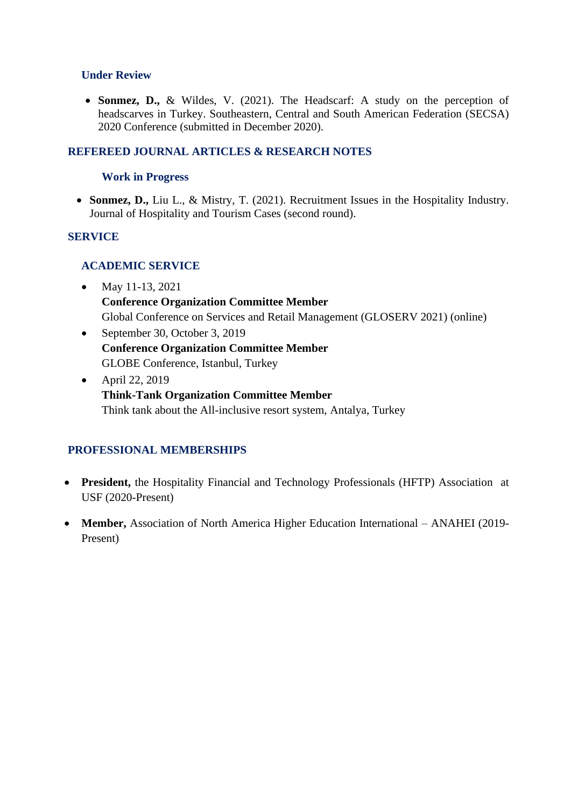#### **Under Review**

• **Sonmez, D.,** & Wildes, V. (2021). The Headscarf: A study on the perception of headscarves in Turkey. Southeastern, Central and South American Federation (SECSA) 2020 Conference (submitted in December 2020).

### **REFEREED JOURNAL ARTICLES & RESEARCH NOTES**

#### **Work in Progress**

• **Sonmez, D.,** Liu L., & Mistry, T. (2021). Recruitment Issues in the Hospitality Industry. Journal of Hospitality and Tourism Cases (second round).

#### **SERVICE**

### **ACADEMIC SERVICE**

- May 11-13, 2021 **Conference Organization Committee Member** Global Conference on Services and Retail Management (GLOSERV 2021) (online)
- September 30, October 3, 2019 **Conference Organization Committee Member** GLOBE Conference, Istanbul, Turkey
- April 22, 2019 **Think-Tank Organization Committee Member** Think tank about the All-inclusive resort system, Antalya, Turkey

# **PROFESSIONAL MEMBERSHIPS**

- **President,** the Hospitality Financial and Technology Professionals (HFTP) Association at USF (2020-Present)
- **Member,** Association of North America Higher Education International ANAHEI (2019- Present)